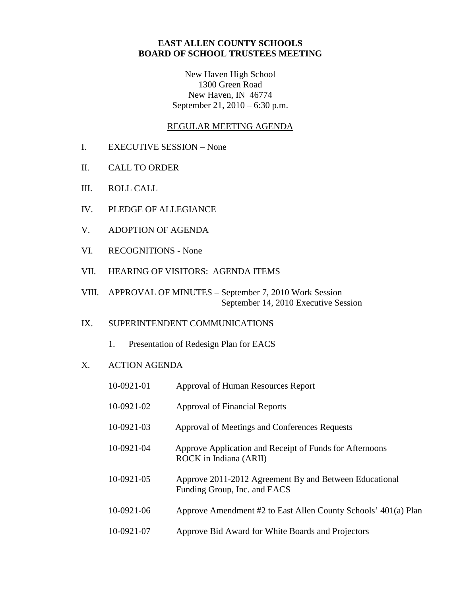## **EAST ALLEN COUNTY SCHOOLS BOARD OF SCHOOL TRUSTEES MEETING**

New Haven High School 1300 Green Road New Haven, IN 46774 September 21, 2010 – 6:30 p.m.

### REGULAR MEETING AGENDA

- I. EXECUTIVE SESSION None
- II. CALL TO ORDER
- III. ROLL CALL
- IV. PLEDGE OF ALLEGIANCE
- V. ADOPTION OF AGENDA
- VI. RECOGNITIONS None
- VII. HEARING OF VISITORS: AGENDA ITEMS
- VIII. APPROVAL OF MINUTES September 7, 2010 Work Session September 14, 2010 Executive Session

# IX. SUPERINTENDENT COMMUNICATIONS

1. Presentation of Redesign Plan for EACS

### X. ACTION AGENDA

| 10-0921-01 | Approval of Human Resources Report                                                     |
|------------|----------------------------------------------------------------------------------------|
| 10-0921-02 | <b>Approval of Financial Reports</b>                                                   |
| 10-0921-03 | Approval of Meetings and Conferences Requests                                          |
| 10-0921-04 | Approve Application and Receipt of Funds for Afternoons<br>ROCK in Indiana (ARII)      |
| 10-0921-05 | Approve 2011-2012 Agreement By and Between Educational<br>Funding Group, Inc. and EACS |
| 10-0921-06 | Approve Amendment #2 to East Allen County Schools' 401(a) Plan                         |
| 10-0921-07 | Approve Bid Award for White Boards and Projectors                                      |